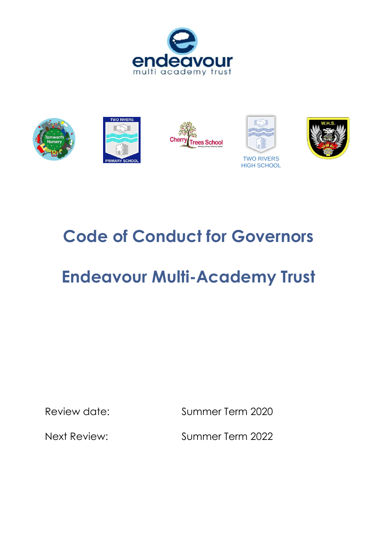



# **Code of Conduct for Governors**

# **Endeavour Multi-Academy Trust**

Review date: Summer Term 2020

Next Review: Summer Term 2022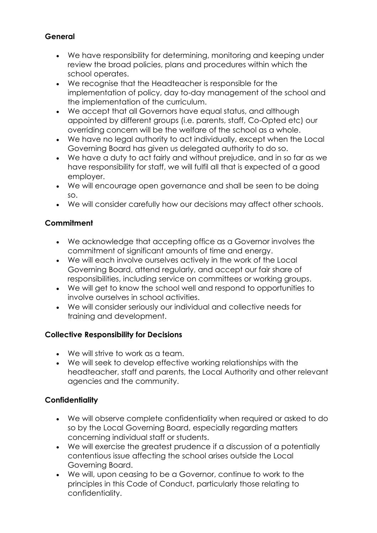#### **General**

- We have responsibility for determining, monitoring and keeping under review the broad policies, plans and procedures within which the school operates.
- We recognise that the Headteacher is responsible for the implementation of policy, day to-day management of the school and the implementation of the curriculum.
- We accept that all Governors have equal status, and although appointed by different groups (i.e. parents, staff, Co-Opted etc) our overriding concern will be the welfare of the school as a whole.
- We have no legal authority to act individually, except when the Local Governing Board has given us delegated authority to do so.
- We have a duty to act fairly and without prejudice, and in so far as we have responsibility for staff, we will fulfil all that is expected of a good employer.
- We will encourage open governance and shall be seen to be doing so.
- We will consider carefully how our decisions may affect other schools.

#### **Commitment**

- We acknowledge that accepting office as a Governor involves the commitment of significant amounts of time and energy.
- We will each involve ourselves actively in the work of the Local Governing Board, attend regularly, and accept our fair share of responsibilities, including service on committees or working groups.
- We will get to know the school well and respond to opportunities to involve ourselves in school activities.
- We will consider seriously our individual and collective needs for training and development.

## **Collective Responsibility for Decisions**

- We will strive to work as a team.
- We will seek to develop effective working relationships with the headteacher, staff and parents, the Local Authority and other relevant agencies and the community.

#### **Confidentiality**

- We will observe complete confidentiality when required or asked to do so by the Local Governing Board, especially regarding matters concerning individual staff or students.
- We will exercise the greatest prudence if a discussion of a potentially contentious issue affecting the school arises outside the Local Governing Board.
- We will, upon ceasing to be a Governor, continue to work to the principles in this Code of Conduct, particularly those relating to confidentiality.